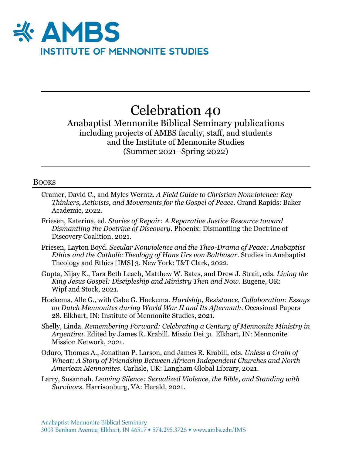

# Celebration 40

Anabaptist Mennonite Biblical Seminary publications including projects of AMBS faculty, staff, and students and the Institute of Mennonite Studies (Summer 2021–Spring 2022)

#### BOOKS

- Cramer, David C., and Myles Werntz. *A Field Guide to Christian Nonviolence: Key Thinkers, Activists, and Movements for the Gospel of Peace*. Grand Rapids: Baker Academic, 2022.
- Friesen, Katerina, ed. *Stories of Repair: A Reparative Justice Resource toward Dismantling the Doctrine of Discovery*. Phoenix: Dismantling the Doctrine of Discovery Coalition, 2021.
- Friesen, Layton Boyd. *Secular Nonviolence and the Theo-Drama of Peace: Anabaptist Ethics and the Catholic Theology of Hans Urs von Balthasar*. Studies in Anabaptist Theology and Ethics [IMS] 3. New York: T&T Clark, 2022.
- Gupta, Nijay K., Tara Beth Leach, Matthew W. Bates, and Drew J. Strait, eds. *Living the King Jesus Gospel: Discipleship and Ministry Then and Now*. Eugene, OR: Wipf and Stock, 2021.
- Hoekema, Alle G., with Gabe G. Hoekema. *Hardship, Resistance, Collaboration: Essays on Dutch Mennonites during World War II and Its Aftermath*. Occasional Papers 28. Elkhart, IN: Institute of Mennonite Studies, 2021.
- Shelly, Linda. *Remembering Forward: Celebrating a Century of Mennonite Ministry in Argentina*. Edited by James R. Krabill. Missio Dei 31. Elkhart, IN: Mennonite Mission Network, 2021.
- Oduro, Thomas A., Jonathan P. Larson, and James R. Krabill, eds. *Unless a Grain of Wheat: A Story of Friendship Between African Independent Churches and North American Mennonites*. Carlisle, UK: Langham Global Library, 2021.
- Larry, Susannah. *Leaving Silence: Sexualized Violence, the Bible, and Standing with Survivors.* Harrisonburg, VA: Herald, 2021.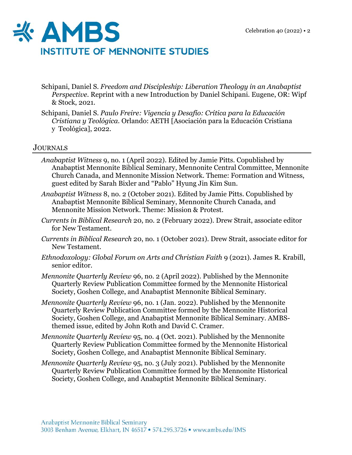

- Schipani, Daniel S. *Freedom and Discipleship: Liberation Theology in an Anabaptist Perspective.* Reprint with a new Introduction by Daniel Schipani. Eugene, OR: Wipf & Stock, 2021.
- Schipani, Daniel S. *Paulo Freire: Vigencia y Desafío: Crítica para la Educación Cristiana y Teológica.* Orlando: AETH [Asociación para la Educación Cristiana y Teológica], 2022.

## JOURNALS

- *Anabaptist Witness* 9, no. 1 (April 2022). Edited by Jamie Pitts. Copublished by Anabaptist Mennonite Biblical Seminary, Mennonite Central Committee, Mennonite Church Canada, and Mennonite Mission Network. Theme: Formation and Witness, guest edited by Sarah Bixler and "Pablo" Hyung Jin Kim Sun.
- *Anabaptist Witness* 8, no. 2 (October 2021). Edited by Jamie Pitts. Copublished by Anabaptist Mennonite Biblical Seminary, Mennonite Church Canada, and Mennonite Mission Network. Theme: Mission & Protest.
- *Currents in Biblical Research* 20, no. 2 (February 2022). Drew Strait, associate editor for New Testament.
- *Currents in Biblical Research* 20, no. 1 (October 2021). Drew Strait, associate editor for New Testament.
- *Ethnodoxology: Global Forum on Arts and Christian Faith* 9 (2021). James R. Krabill, senior editor.
- *Mennonite Quarterly Review* 96, no. 2 (April 2022). Published by the Mennonite Quarterly Review Publication Committee formed by the Mennonite Historical Society, Goshen College, and Anabaptist Mennonite Biblical Seminary.
- *Mennonite Quarterly Review* 96, no. 1 (Jan. 2022). Published by the Mennonite Quarterly Review Publication Committee formed by the Mennonite Historical Society, Goshen College, and Anabaptist Mennonite Biblical Seminary. AMBSthemed issue, edited by John Roth and David C. Cramer.
- *Mennonite Quarterly Review* 95, no. 4 (Oct. 2021). Published by the Mennonite Quarterly Review Publication Committee formed by the Mennonite Historical Society, Goshen College, and Anabaptist Mennonite Biblical Seminary.
- *Mennonite Quarterly Review* 95, no. 3 (July 2021). Published by the Mennonite Quarterly Review Publication Committee formed by the Mennonite Historical Society, Goshen College, and Anabaptist Mennonite Biblical Seminary.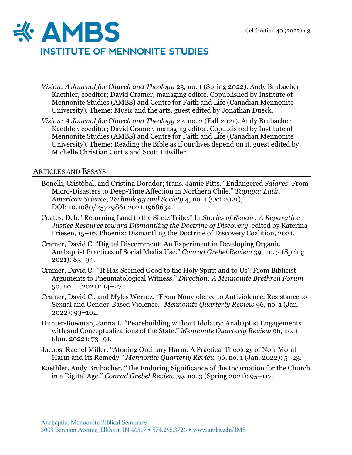

- *Vision: A Journal for Church and Theology* 23, no. 1 (Spring 2022). Andy Brubacher Kaethler, coeditor; David Cramer, managing editor. Copublished by Institute of Mennonite Studies (AMBS) and Centre for Faith and Life (Canadian Mennonite University). Theme: Music and the arts, guest edited by Jonathan Dueck.
- *Vision: A Journal for Church and Theology* 22, no. 2 (Fall 2021). Andy Brubacher Kaethler, coeditor; David Cramer, managing editor. Copublished by Institute of Mennonite Studies (AMBS) and Centre for Faith and Life (Canadian Mennonite University). Theme: Reading the Bible as if our lives depend on it, guest edited by Michelle Christian Curtis and Scott Litwiller.

## ARTICLES AND ESSAYS

- Bonelli, Cristóbal, and Cristina Dorador; trans. Jamie Pitts. "Endangered *Salares*: From Micro-Disasters to Deep-Time Affection in Northern Chile." *Tapuya: Latin American Science, Technology and Society* 4, no. 1 (Oct 2021), DOI: [10.1080/25729861.2021.1968634.](https://doi.org/10.1080/25729861.2021.1968634)
- Coates, Deb. "Returning Land to the Siletz Tribe." In *Stories of Repair: A Reparative Justice Resource toward Dismantling the Doctrine of Discovery*, edited by Katerina Friesen, 15–16. Phoenix: Dismantling the Doctrine of Discovery Coalition, 2021.
- Cramer, David C. "Digital Discernment: An Experiment in Developing Organic Anabaptist Practices of Social Media Use." *Conrad Grebel Review* 39, no. 3 (Spring 2021): 83–94.
- Cramer, David C. "'It Has Seemed Good to the Holy Spirit and to Us': From Biblicist Arguments to Pneumatological Witness." *Direction: A Mennonite Brethren Forum* 50, no. 1 (2021): 14–27.
- Cramer, David C., and Myles Werntz. "From Nonviolence to Antiviolence: Resistance to Sexual and Gender-Based Violence." *Mennonite Quarterly Review* 96, no. 1 (Jan. 2022): 93–102.
- Hunter-Bowman, Janna L. "Peacebuilding without Idolatry: Anabaptist Engagements with and Conceptualizations of the State." *Mennonite Quarterly Review* 96, no. 1 (Jan. 2022): 73–91.
- Jacobs, Rachel Miller. "Atoning Ordinary Harm: A Practical Theology of Non-Moral Harm and Its Remedy." *Mennonite Quarterly Review* 96, no. 1 (Jan. 2022): 5–23.
- Kaethler, Andy Brubacher. "The Enduring Significance of the Incarnation for the Church in a Digital Age." *Conrad Grebel Review* 39, no. 3 (Spring 2021): 95–117.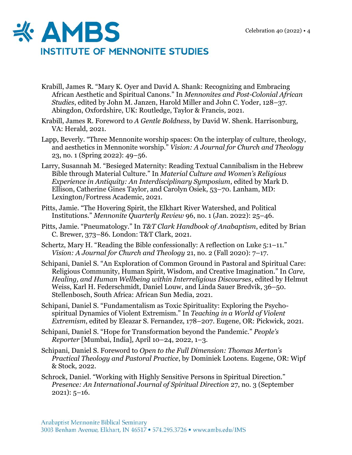

- Krabill, James R. "Mary K. Oyer and David A. Shank: Recognizing and Embracing African Aesthetic and Spiritual Canons." In *Mennonites and Post-Colonial African Studies*, edited by John M. Janzen, Harold Miller and John C. Yoder, 128–37. Abingdon, Oxfordshire, UK: Routledge, Taylor & Francis, 2021.
- Krabill, James R. Foreword to *A Gentle Boldness*, by David W. Shenk. Harrisonburg, VA: Herald, 2021.
- Lapp, Beverly. "Three Mennonite worship spaces: On the interplay of culture, theology, and aesthetics in Mennonite worship." *Vision: A Journal for Church and Theology* 23, no. 1 (Spring 2022): 49–56.
- Larry, Susannah M. "Besieged Maternity: Reading Textual Cannibalism in the Hebrew Bible through Material Culture." In *Material Culture and Women's Religious Experience in Antiquity: An Interdisciplinary Symposium*, edited by Mark D. Ellison, Catherine Gines Taylor, and Carolyn Osiek, 53–70. Lanham, MD: Lexington/Fortress Academic, 2021.
- Pitts, Jamie. "The Hovering Spirit, the Elkhart River Watershed, and Political Institutions." *Mennonite Quarterly Review* 96, no. 1 (Jan. 2022): 25–46.
- Pitts, Jamie. "Pneumatology." In *T&T Clark Handbook of Anabaptism*, edited by Brian C. Brewer, 373–86. London: T&T Clark, 2021.
- Schertz, Mary H. "Reading the Bible confessionally: A reflection on Luke 5:1–11." *Vision: A Journal for Church and Theology* 21, no. 2 (Fall 2020): 7–17.
- Schipani, Daniel S. "An Exploration of Common Ground in Pastoral and Spiritual Care: Religious Community, Human Spirit, Wisdom, and Creative Imagination." In *Care, Healing, and Human Wellbeing within Interreligious Discourses*, edited by Helmut Weiss, Karl H. Federschmidt, Daniel Louw, and Linda Sauer Bredvik, 36–50. Stellenbosch, South Africa: African Sun Media, 2021.
- Schipani, Daniel S. "Fundamentalism as Toxic Spirituality: Exploring the Psychospiritual Dynamics of Violent Extremism." In *Teaching in a World of Violent Extremism*, edited by Eleazar S. Fernandez, 178–207. Eugene, OR: Pickwick, 2021.
- Schipani, Daniel S. "Hope for Transformation beyond the Pandemic." *People's Reporter* [Mumbai, India], April 10–24, 2022, 1–3.
- Schipani, Daniel S. Foreword to *Open to the Full Dimension: Thomas Merton's Practical Theology and Pastoral Practice*, by Dominiek Lootens. Eugene, OR: Wipf & Stock, 2022.
- Schrock, Daniel. "Working with Highly Sensitive Persons in Spiritual Direction." *Presence: An International Journal of Spiritual Direction* 27, no. 3 (September  $2021$ :  $5-16$ .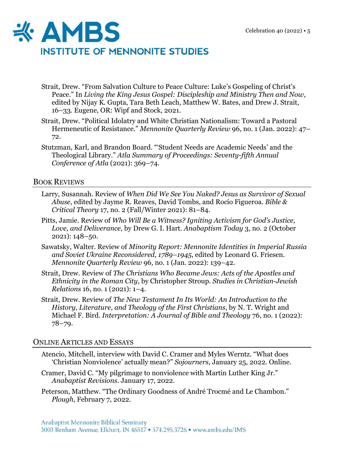

- Strait, Drew. "From Salvation Culture to Peace Culture: Luke's Gospeling of Christ's Peace." In *Living the King Jesus Gospel: Discipleship and Ministry Then and Now*, edited by Nijay K. Gupta, Tara Beth Leach, Matthew W. Bates, and Drew J. Strait, 16–33. Eugene, OR: Wipf and Stock, 2021.
- Strait, Drew. "Political Idolatry and White Christian Nationalism: Toward a Pastoral Hermeneutic of Resistance." *Mennonite Quarterly Review* 96, no. 1 (Jan. 2022): 47– 72.
- Stutzman, Karl, and Brandon Board. "'Student Needs are Academic Needs' and the Theological Library." *Atla Summary of Proceedings: Seventy-fifth Annual Conference of Atla* (2021): 369–74.

## BOOK REVIEWS

- Larry, Susannah. Review of *When Did We See You Naked? Jesus as Survivor of Sexual Abuse*, edited by Jayme R. Reaves, David Tombs, and Rocío Figueroa. *Bible & Critical Theory* 17, no. 2 (Fall/Winter 2021): 81–84.
- Pitts, Jamie. Review of *Who Will Be a Witness? Igniting Activism for God's Justice, Love, and Deliverance*, by Drew G. I. Hart. *Anabaptism Today* 3, no. 2 (October 2021): 148–50.
- Sawatsky, Walter. Review of *Minority Report: Mennonite Identities in Imperial Russia and Soviet Ukraine Reconsidered, 1789–1945*, edited by Leonard G. Friesen. *Mennonite Quarterly Review* 96, no. 1 (Jan. 2022): 139–42.
- Strait, Drew. Review of *The Christians Who Became Jews: Acts of the Apostles and Ethnicity in the Roman City*, by Christopher Stroup. *Studies in Christian-Jewish Relations* 16, no. 1 (2021): 1–4.
- Strait, Drew. Review of *The New Testament In Its World: An Introduction to the History, Literature, and Theology of the First Christians*, by N. T. Wright and Michael F. Bird. *Interpretation: A Journal of Bible and Theology* 76, no. 1 (2022): 78–79.

#### ONLINE ARTICLES AND ESSAYS

- Atencio, Mitchell, interview with David C. Cramer and Myles Werntz. "What does 'Christian Nonviolence' actually mean?" *Sojourners*, January 25, 2022. Online.
- Cramer, David C. "My pilgrimage to nonviolence with Martin Luther King Jr." *Anabaptist Revisions*. January 17, 2022.
- Peterson, Matthew. "The Ordinary Goodness of André Trocmé and Le Chambon." *Plough*, February 7, 2022.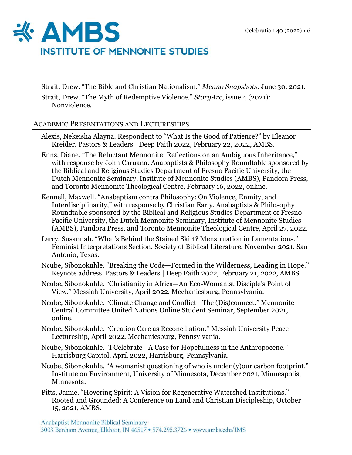

Strait, Drew. "The Bible and Christian Nationalism." *Menno Snapshots*. June 30, 2021.

Strait, Drew. "The Myth of Redemptive Violence." *StoryArc*, issue 4 (2021): Nonviolence.

# ACADEMIC PRESENTATIONS AND LECTURESHIPS

- Alexis, Nekeisha Alayna. Respondent to "What Is the Good of Patience?" by Eleanor Kreider. Pastors & Leaders | Deep Faith 2022, February 22, 2022, AMBS.
- Enns, Diane. "The Reluctant Mennonite: Reflections on an Ambiguous Inheritance," with response by John Caruana. Anabaptists & Philosophy Roundtable sponsored by the Biblical and Religious Studies Department of Fresno Pacific University, the Dutch Mennonite Seminary, Institute of Mennonite Studies (AMBS), Pandora Press, and Toronto Mennonite Theological Centre, February 16, 2022, online.
- Kennell, Maxwell. "Anabaptism contra Philosophy: On Violence, Enmity, and Interdisciplinarity," with response by Christian Early. Anabaptists & Philosophy Roundtable sponsored by the Biblical and Religious Studies Department of Fresno Pacific University, the Dutch Mennonite Seminary, Institute of Mennonite Studies (AMBS), Pandora Press, and Toronto Mennonite Theological Centre, April 27, 2022.
- Larry, Susannah. "What's Behind the Stained Skirt? Menstruation in Lamentations." Feminist Interpretations Section. Society of Biblical Literature, November 2021, San Antonio, Texas.
- Ncube, Sibonokuhle. "Breaking the Code—Formed in the Wilderness, Leading in Hope." Keynote address. Pastors & Leaders | Deep Faith 2022, February 21, 2022, AMBS.
- Ncube, Sibonokuhle. "Christianity in Africa—An Eco-Womanist Disciple's Point of View." Messiah University, April 2022, Mechanicsburg, Pennsylvania.
- Ncube, Sibonokuhle. "Climate Change and Conflict—The (Dis)connect." Mennonite Central Committee United Nations Online Student Seminar, September 2021, online.
- Ncube, Sibonokuhle. "Creation Care as Reconciliation." Messiah University Peace Lectureship, April 2022, Mechanicsburg, Pennsylvania.
- Ncube, Sibonokuhle. "I Celebrate—A Case for Hopefulness in the Anthropocene." Harrisburg Capitol, April 2022, Harrisburg, Pennsylvania.
- Ncube, Sibonokuhle. "A womanist questioning of who is under (y)our carbon footprint." Institute on Environment, University of Minnesota, December 2021, Minneapolis, Minnesota.
- Pitts, Jamie. "Hovering Spirit: A Vision for Regenerative Watershed Institutions." Rooted and Grounded: A Conference on Land and Christian Discipleship, October 15, 2021, AMBS.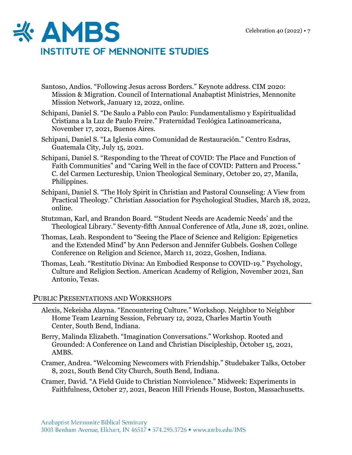

- Santoso, Andios. "Following Jesus across Borders." Keynote address. CIM 2020: Mission & Migration. Council of International Anabaptist Ministries, Mennonite Mission Network, January 12, 2022, online.
- Schipani, Daniel S. "De Saulo a Pablo con Paulo: Fundamentalismo y Espiritualidad Cristiana a la Luz de Paulo Freire." Fraternidad Teológica Latinoamericana, November 17, 2021, Buenos Aires.
- Schipani, Daniel S. "La Iglesia como Comunidad de Restauración." Centro Esdras, Guatemala City, July 15, 2021.
- Schipani, Daniel S. "Responding to the Threat of COVID: The Place and Function of Faith Communities" and "Caring Well in the face of COVID: Pattern and Process." C. del Carmen Lectureship, Union Theological Seminary, October 20, 27, Manila, Philippines.
- Schipani, Daniel S. "The Holy Spirit in Christian and Pastoral Counseling: A View from Practical Theology." Christian Association for Psychological Studies, March 18, 2022, online.
- Stutzman, Karl, and Brandon Board. "'Student Needs are Academic Needs' and the Theological Library." Seventy-fifth Annual Conference of Atla, June 18, 2021, online.
- Thomas, Leah. Respondent to "Seeing the Place of Science and Religion: Epigenetics and the Extended Mind" by Ann Pederson and Jennifer Gubbels. Goshen College Conference on Religion and Science, March 11, 2022, Goshen, Indiana.
- Thomas, Leah. "Restitutio Divina: An Embodied Response to COVID-19." Psychology, Culture and Religion Section. American Academy of Religion, November 2021, San Antonio, Texas.

#### PUBLIC PRESENTATIONS AND WORKSHOPS

- Alexis, Nekeisha Alayna. "Encountering Culture." Workshop. Neighbor to Neighbor Home Team Learning Session, February 12, 2022, Charles Martin Youth Center, South Bend, Indiana.
- Berry, Malinda Elizabeth. "Imagination Conversations." Workshop. Rooted and Grounded: A Conference on Land and Christian Discipleship, October 15, 2021, AMBS.
- Cramer, Andrea. "Welcoming Newcomers with Friendship." Studebaker Talks, October 8, 2021, South Bend City Church, South Bend, Indiana.
- Cramer, David. "A Field Guide to Christian Nonviolence." Midweek: Experiments in Faithfulness, October 27, 2021, Beacon Hill Friends House, Boston, Massachusetts.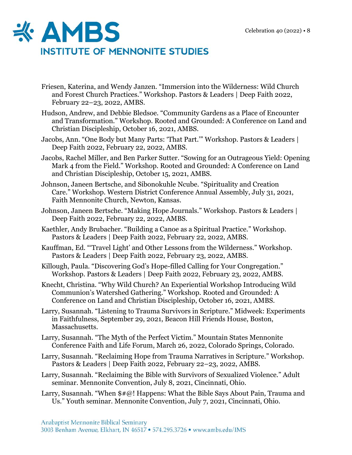

- Friesen, Katerina, and Wendy Janzen. "Immersion into the Wilderness: Wild Church and Forest Church Practices." Workshop. Pastors & Leaders | Deep Faith 2022, February 22–23, 2022, AMBS.
- Hudson, Andrew, and Debbie Bledsoe. "Community Gardens as a Place of Encounter and Transformation." Workshop. Rooted and Grounded: A Conference on Land and Christian Discipleship, October 16, 2021, AMBS.
- Jacobs, Ann. "One Body but Many Parts: 'That Part.'" Workshop. Pastors & Leaders | Deep Faith 2022, February 22, 2022, AMBS.
- Jacobs, Rachel Miller, and Ben Parker Sutter. "Sowing for an Outrageous Yield: Opening Mark 4 from the Field." Workshop. Rooted and Grounded: A Conference on Land and Christian Discipleship, October 15, 2021, AMBS.
- Johnson, Janeen Bertsche, and Sibonokuhle Ncube. "Spirituality and Creation Care." Workshop. Western District Conference Annual Assembly, July 31, 2021, Faith Mennonite Church, Newton, Kansas.
- Johnson, Janeen Bertsche. "Making Hope Journals." Workshop. Pastors & Leaders | Deep Faith 2022, February 22, 2022, AMBS.
- Kaethler, Andy Brubacher. "Building a Canoe as a Spiritual Practice." Workshop. Pastors & Leaders | Deep Faith 2022, February 22, 2022, AMBS.
- Kauffman, Ed. "'Travel Light' and Other Lessons from the Wilderness." Workshop. Pastors & Leaders | Deep Faith 2022, February 23, 2022, AMBS.
- Killough, Paula. "Discovering God's Hope-filled Calling for Your Congregation." Workshop. Pastors & Leaders | Deep Faith 2022, February 23, 2022, AMBS.
- Knecht, Christina. "Why Wild Church? An Experiential Workshop Introducing Wild Communion's Watershed Gathering." Workshop. Rooted and Grounded: A Conference on Land and Christian Discipleship, October 16, 2021, AMBS.
- Larry, Susannah. "Listening to Trauma Survivors in Scripture." Midweek: Experiments in Faithfulness, September 29, 2021, Beacon Hill Friends House, Boston, Massachusetts.
- Larry, Susannah. "The Myth of the Perfect Victim." Mountain States Mennonite Conference Faith and Life Forum, March 26, 2022, Colorado Springs, Colorado.
- Larry, Susannah. "Reclaiming Hope from Trauma Narratives in Scripture." Workshop. Pastors & Leaders | Deep Faith 2022, February 22–23, 2022, AMBS.
- Larry, Susannah. "Reclaiming the Bible with Survivors of Sexualized Violence." Adult seminar. Mennonite Convention, July 8, 2021, Cincinnati, Ohio.
- Larry, Susannah. "When  $\frac{4}{10}$ ! Happens: What the Bible Says About Pain, Trauma and Us." Youth seminar. Mennonite Convention, July 7, 2021, Cincinnati, Ohio.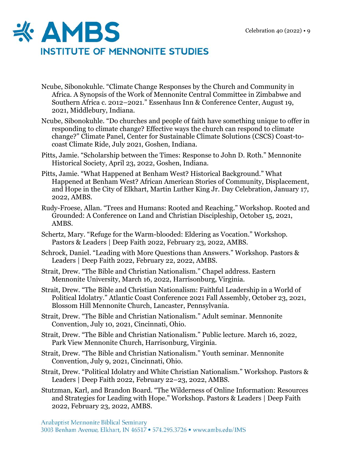

- Ncube, Sibonokuhle. "Climate Change Responses by the Church and Community in Africa. A Synopsis of the Work of Mennonite Central Committee in Zimbabwe and Southern Africa c. 2012–2021." Essenhaus Inn & Conference Center, August 19, 2021, Middlebury, Indiana.
- Ncube, Sibonokuhle. "Do churches and people of faith have something unique to offer in responding to climate change? Effective ways the church can respond to climate change?" Climate Panel, Center for Sustainable Climate Solutions (CSCS) Coast-tocoast Climate Ride, July 2021, Goshen, Indiana.
- Pitts, Jamie. "Scholarship between the Times: Response to John D. Roth." Mennonite Historical Society, April 23, 2022, Goshen, Indiana.
- Pitts, Jamie. "What Happened at Benham West? Historical Background." What Happened at Benham West? African American Stories of Community, Displacement, and Hope in the City of Elkhart, Martin Luther King Jr. Day Celebration, January 17, 2022, AMBS.
- Rudy-Froese, Allan. "Trees and Humans: Rooted and Reaching." Workshop. Rooted and Grounded: A Conference on Land and Christian Discipleship, October 15, 2021, AMBS.
- Schertz, Mary. "Refuge for the Warm-blooded: Eldering as Vocation." Workshop. Pastors & Leaders | Deep Faith 2022, February 23, 2022, AMBS.
- Schrock, Daniel. "Leading with More Questions than Answers." Workshop. Pastors & Leaders | Deep Faith 2022, February 22, 2022, AMBS.
- Strait, Drew. "The Bible and Christian Nationalism." Chapel address. Eastern Mennonite University, March 16, 2022, Harrisonburg, Virginia.
- Strait, Drew. "The Bible and Christian Nationalism: Faithful Leadership in a World of Political Idolatry." Atlantic Coast Conference 2021 Fall Assembly, October 23, 2021, Blossom Hill Mennonite Church, Lancaster, Pennsylvania.
- Strait, Drew. "The Bible and Christian Nationalism." Adult seminar. Mennonite Convention, July 10, 2021, Cincinnati, Ohio.
- Strait, Drew. "The Bible and Christian Nationalism." Public lecture. March 16, 2022, Park View Mennonite Church, Harrisonburg, Virginia.
- Strait, Drew. "The Bible and Christian Nationalism." Youth seminar. Mennonite Convention, July 9, 2021, Cincinnati, Ohio.
- Strait, Drew. "Political Idolatry and White Christian Nationalism." Workshop. Pastors & Leaders | Deep Faith 2022, February 22–23, 2022, AMBS.
- Stutzman, Karl, and Brandon Board. "The Wilderness of Online Information: Resources and Strategies for Leading with Hope." Workshop. Pastors & Leaders | Deep Faith 2022, February 23, 2022, AMBS.